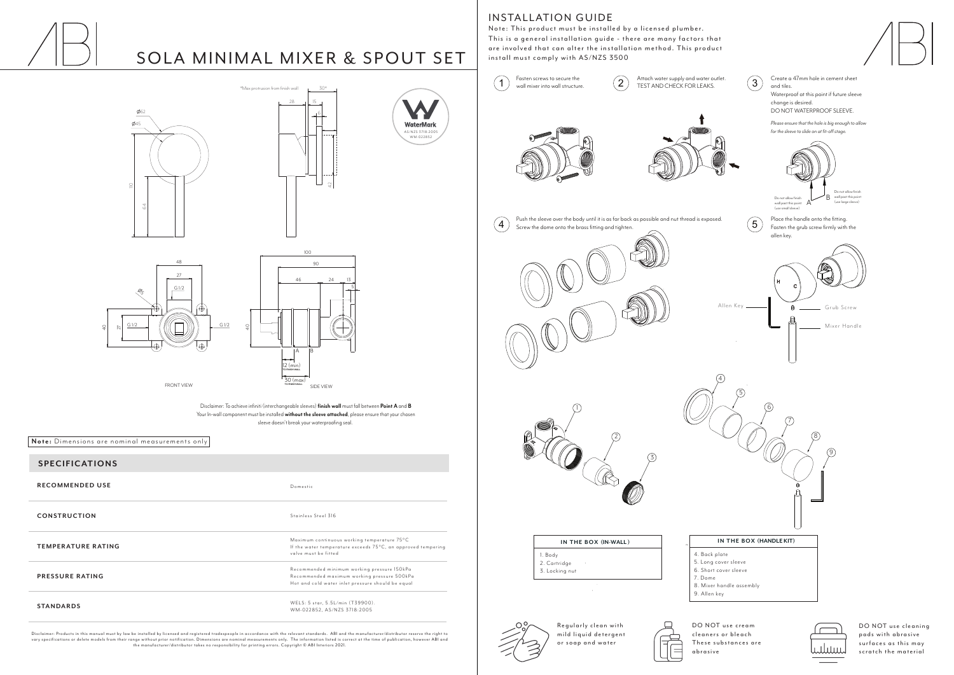### **SPECIFICATIONS**

**RECOMMENDED USE**

**CONSTRUCTION**

**PRESSURE RATING**

**STANDARDS**

Disclaimer: Products in this manual must by law be installed by licensed and registered tradespeople in accordance with the relevant standards. ABI and the manufacturer/distributor reser ve the right to vary specifications or delete models from their range without prior notification. Dimensions are nominal measurements only. The information listed is correct at the time of publication, however ABI and<br>the manufacturer/dis

## **INSTALLATION GUIDE**

Note: This product must be installed by a licensed plumber. This is a general installation guide - there are many factors that are involved that can alter the installation method. This product  $a_n = \frac{a_n}{b_n}$  install must comply with  $\Delta S/NZS$ ,  $\Delta S=0.0$ install must comply with AS/NZ 3500.

**4** Push the sleeve over the body until it is as far back as possible and nut thread is exposed.<br>Screw the dome onto the brass fitting and tighten.

Stainless Steel 316

WELS: 5 star, 5.5L/min (T39900). WM-022852, AS/NZS 3718:2005

Recommended minimum working pressure 150kPa Recommended maximum working pressure 500kPa Hot and cold water inlet pressure should be equal

Domestic

**TEMPERATURE RATING**

Maximum continuous working temperature 75°C

If the water temperature exceeds 75°C, an approved tempering

valve must be fitted

**Note:** Dimensions are nominal measurements only

AS/NZS 3718:2005 WM-022852

WaterMark

**Note:** Dimensions are nominal measurements only

Disclaimer: To achieve infiniti (interchangeable sleeves) **finish wall** must fall between **Point A** and **B** Your In-wall component must be installed **without the sleeve attached**, please ensure that your chosen sleeve doesn't break your waterproofing seal.





ទ្

# SOLA MINIMAL MIXER & SPOUT SET







Screw the dome onto the brass fitting and tighten.

te distributor









| 1. Body        |  |
|----------------|--|
| 2. Cartridge   |  |
| 3. Locking nut |  |

DY

4. Back plate

 $\overline{4}$ 

7. Dome

9. Allen key

5

DO NOT use cream cleaners or bleach These substances are







Regularly clean with mild liquid detergent or soap and water

DO NOT use cleaning pads with abrasive surfaces as this may scratch the material